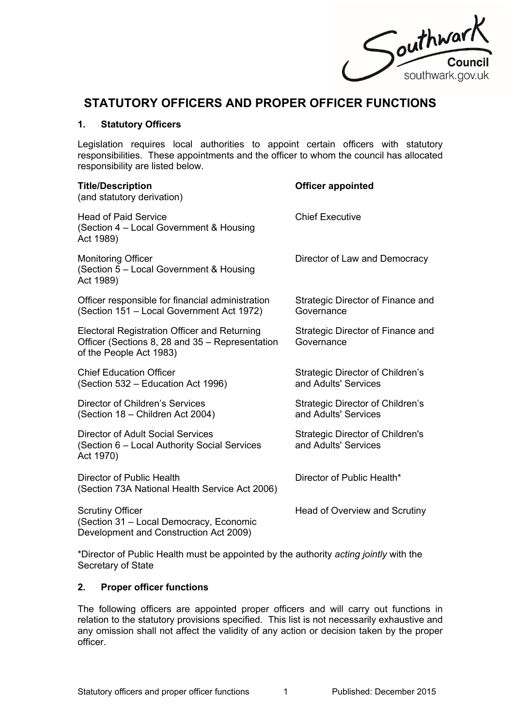

# **STATUTORY OFFICERS AND PROPER OFFICER FUNCTIONS**

#### **1. Statutory Officers**

Legislation requires local authorities to appoint certain officers with statutory responsibilities. These appointments and the officer to whom the council has allocated responsibility are listed below.

| <b>Title/Description</b><br>(and statutory derivation)                                                                     | <b>Officer appointed</b>                                        |
|----------------------------------------------------------------------------------------------------------------------------|-----------------------------------------------------------------|
| <b>Head of Paid Service</b><br>(Section 4 - Local Government & Housing<br>Act 1989)                                        | <b>Chief Executive</b>                                          |
| <b>Monitoring Officer</b><br>(Section 5 – Local Government & Housing<br>Act 1989)                                          | Director of Law and Democracy                                   |
| Officer responsible for financial administration<br>(Section 151 - Local Government Act 1972)                              | Strategic Director of Finance and<br>Governance                 |
| Electoral Registration Officer and Returning<br>Officer (Sections 8, 28 and 35 – Representation<br>of the People Act 1983) | Strategic Director of Finance and<br>Governance                 |
| <b>Chief Education Officer</b><br>(Section 532 – Education Act 1996)                                                       | <b>Strategic Director of Children's</b><br>and Adults' Services |
| <b>Director of Children's Services</b><br>(Section 18 - Children Act 2004)                                                 | Strategic Director of Children's<br>and Adults' Services        |
| <b>Director of Adult Social Services</b><br>(Section 6 – Local Authority Social Services<br>Act 1970)                      | Strategic Director of Children's<br>and Adults' Services        |
| Director of Public Health<br>(Section 73A National Health Service Act 2006)                                                | Director of Public Health*                                      |
| <b>Scrutiny Officer</b><br>(Section 31 - Local Democracy, Economic<br>Development and Construction Act 2009)               | Head of Overview and Scrutiny                                   |

\*Director of Public Health must be appointed by the authority *acting jointly* with the Secretary of State

#### **2. Proper officer functions**

The following officers are appointed proper officers and will carry out functions in relation to the statutory provisions specified. This list is not necessarily exhaustive and any omission shall not affect the validity of any action or decision taken by the proper officer.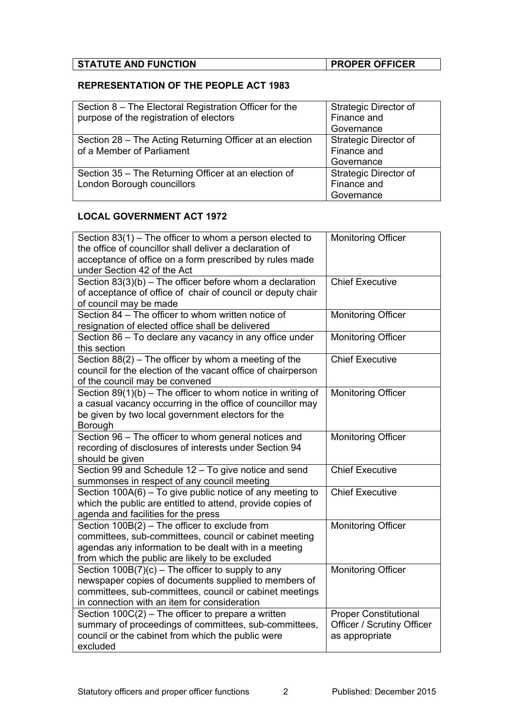| <b>STATUTE AND FUNCTION</b> | <b>PROPER OFFICER</b> |
|-----------------------------|-----------------------|

# **REPRESENTATION OF THE PEOPLE ACT 1983**

| Section 8 – The Electoral Registration Officer for the   | Strategic Director of        |
|----------------------------------------------------------|------------------------------|
| purpose of the registration of electors                  | Finance and                  |
|                                                          | Governance                   |
| Section 28 – The Acting Returning Officer at an election | Strategic Director of        |
| of a Member of Parliament                                | Finance and                  |
|                                                          | Governance                   |
| Section 35 – The Returning Officer at an election of     | <b>Strategic Director of</b> |
| London Borough councillors                               | Finance and                  |
|                                                          | Governance                   |

## **LOCAL GOVERNMENT ACT 1972**

| Section $83(1)$ – The officer to whom a person elected to<br>the office of councillor shall deliver a declaration of<br>acceptance of office on a form prescribed by rules made<br>under Section 42 of the Act         | <b>Monitoring Officer</b>                                                    |
|------------------------------------------------------------------------------------------------------------------------------------------------------------------------------------------------------------------------|------------------------------------------------------------------------------|
| Section $83(3)(b)$ – The officer before whom a declaration<br>of acceptance of office of chair of council or deputy chair<br>of council may be made                                                                    | <b>Chief Executive</b>                                                       |
| Section 84 - The officer to whom written notice of<br>resignation of elected office shall be delivered                                                                                                                 | <b>Monitoring Officer</b>                                                    |
| Section 86 - To declare any vacancy in any office under<br>this section                                                                                                                                                | <b>Monitoring Officer</b>                                                    |
| Section $88(2)$ – The officer by whom a meeting of the<br>council for the election of the vacant office of chairperson<br>of the council may be convened                                                               | <b>Chief Executive</b>                                                       |
| Section $89(1)(b)$ – The officer to whom notice in writing of<br>a casual vacancy occurring in the office of councillor may<br>be given by two local government electors for the<br>Borough                            | <b>Monitoring Officer</b>                                                    |
| Section 96 - The officer to whom general notices and<br>recording of disclosures of interests under Section 94<br>should be given                                                                                      | <b>Monitoring Officer</b>                                                    |
| Section 99 and Schedule 12 - To give notice and send<br>summonses in respect of any council meeting                                                                                                                    | <b>Chief Executive</b>                                                       |
| Section 100A(6) - To give public notice of any meeting to<br>which the public are entitled to attend, provide copies of<br>agenda and facilities for the press                                                         | <b>Chief Executive</b>                                                       |
| Section $100B(2)$ – The officer to exclude from<br>committees, sub-committees, council or cabinet meeting<br>agendas any information to be dealt with in a meeting<br>from which the public are likely to be excluded  | <b>Monitoring Officer</b>                                                    |
| Section $100B(7)(c)$ – The officer to supply to any<br>newspaper copies of documents supplied to members of<br>committees, sub-committees, council or cabinet meetings<br>in connection with an item for consideration | <b>Monitoring Officer</b>                                                    |
| Section $100C(2)$ – The officer to prepare a written<br>summary of proceedings of committees, sub-committees,<br>council or the cabinet from which the public were<br>excluded                                         | <b>Proper Constitutional</b><br>Officer / Scrutiny Officer<br>as appropriate |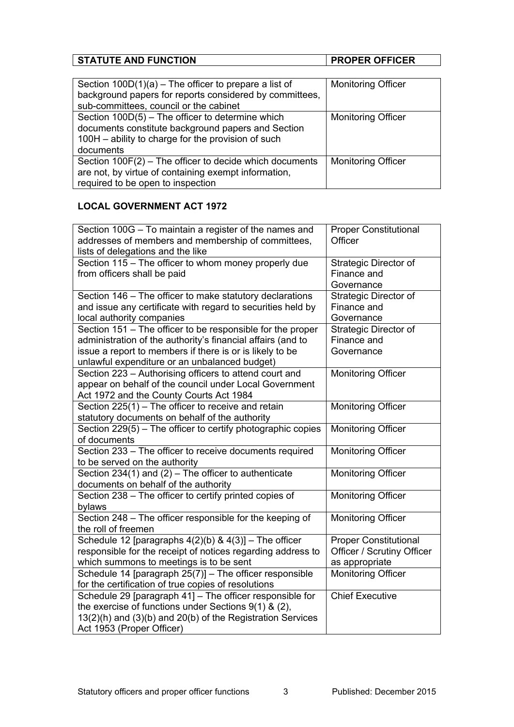| <b>STATUTE AND FUNCTION</b><br><b>PROPER OFFICER</b> |
|------------------------------------------------------|
|------------------------------------------------------|

| Section $100D(1)(a)$ – The officer to prepare a list of<br>background papers for reports considered by committees,<br>sub-committees, council or the cabinet              | <b>Monitoring Officer</b> |
|---------------------------------------------------------------------------------------------------------------------------------------------------------------------------|---------------------------|
| Section 100D(5) - The officer to determine which<br>documents constitute background papers and Section<br>100H - ability to charge for the provision of such<br>documents | <b>Monitoring Officer</b> |
| Section $100F(2)$ – The officer to decide which documents<br>are not, by virtue of containing exempt information,<br>required to be open to inspection                    | <b>Monitoring Officer</b> |

# **LOCAL GOVERNMENT ACT 1972**

| Section 100G - To maintain a register of the names and<br>addresses of members and membership of committees,<br>lists of delegations and the like                                                                                      | <b>Proper Constitutional</b><br>Officer                                             |
|----------------------------------------------------------------------------------------------------------------------------------------------------------------------------------------------------------------------------------------|-------------------------------------------------------------------------------------|
| Section 115 – The officer to whom money properly due<br>from officers shall be paid                                                                                                                                                    | Strategic Director of<br>Finance and<br>Governance                                  |
| Section 146 – The officer to make statutory declarations<br>and issue any certificate with regard to securities held by<br>local authority companies                                                                                   | Strategic Director of<br>Finance and<br>Governance                                  |
| Section 151 - The officer to be responsible for the proper<br>administration of the authority's financial affairs (and to<br>issue a report to members if there is or is likely to be<br>unlawful expenditure or an unbalanced budget) | Strategic Director of<br>Finance and<br>Governance                                  |
| Section 223 - Authorising officers to attend court and<br>appear on behalf of the council under Local Government<br>Act 1972 and the County Courts Act 1984                                                                            | <b>Monitoring Officer</b>                                                           |
| Section $225(1)$ – The officer to receive and retain<br>statutory documents on behalf of the authority                                                                                                                                 | <b>Monitoring Officer</b>                                                           |
| Section 229(5) - The officer to certify photographic copies<br>of documents                                                                                                                                                            | <b>Monitoring Officer</b>                                                           |
| Section 233 - The officer to receive documents required<br>to be served on the authority                                                                                                                                               | <b>Monitoring Officer</b>                                                           |
| Section 234(1) and (2) – The officer to authenticate<br>documents on behalf of the authority                                                                                                                                           | <b>Monitoring Officer</b>                                                           |
| Section 238 - The officer to certify printed copies of<br>bylaws                                                                                                                                                                       | <b>Monitoring Officer</b>                                                           |
| Section 248 - The officer responsible for the keeping of<br>the roll of freemen                                                                                                                                                        | <b>Monitoring Officer</b>                                                           |
| Schedule 12 [paragraphs $4(2)(b)$ & $4(3)$ ] - The officer<br>responsible for the receipt of notices regarding address to<br>which summons to meetings is to be sent                                                                   | <b>Proper Constitutional</b><br><b>Officer / Scrutiny Officer</b><br>as appropriate |
| Schedule 14 [paragraph 25(7)] - The officer responsible<br>for the certification of true copies of resolutions                                                                                                                         | <b>Monitoring Officer</b>                                                           |
| Schedule 29 [paragraph 41] - The officer responsible for<br>the exercise of functions under Sections $9(1)$ & $(2)$ ,<br>13(2)(h) and (3)(b) and 20(b) of the Registration Services<br>Act 1953 (Proper Officer)                       | <b>Chief Executive</b>                                                              |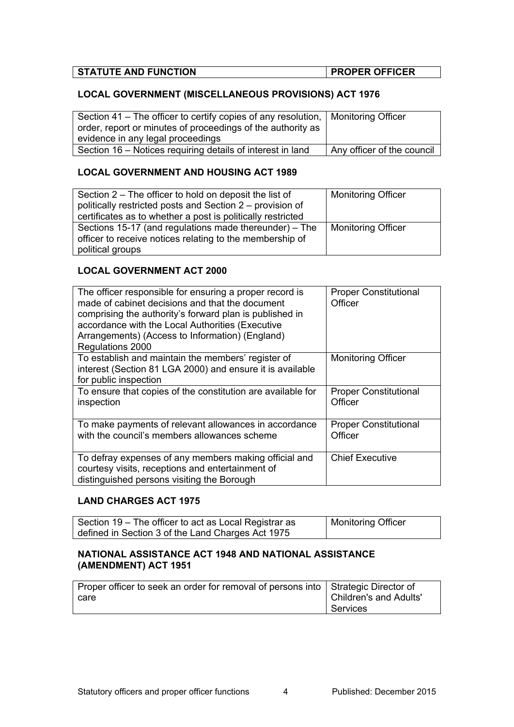| <b>STATUTE AND FUNCTION</b> | <b>PROPER OFFICER</b> |
|-----------------------------|-----------------------|
|                             |                       |

# **LOCAL GOVERNMENT (MISCELLANEOUS PROVISIONS) ACT 1976**

| Section 41 – The officer to certify copies of any resolution, $\vert$ Monitoring Officer |                            |
|------------------------------------------------------------------------------------------|----------------------------|
| order, report or minutes of proceedings of the authority as                              |                            |
| evidence in any legal proceedings                                                        |                            |
| Section 16 – Notices requiring details of interest in land                               | Any officer of the council |

## **LOCAL GOVERNMENT AND HOUSING ACT 1989**

| Section 2 – The officer to hold on deposit the list of<br>politically restricted posts and Section 2 – provision of<br>certificates as to whether a post is politically restricted | <b>Monitoring Officer</b> |
|------------------------------------------------------------------------------------------------------------------------------------------------------------------------------------|---------------------------|
| Sections 15-17 (and regulations made thereunder) – The<br>officer to receive notices relating to the membership of<br>political groups                                             | <b>Monitoring Officer</b> |

# **LOCAL GOVERNMENT ACT 2000**

| The officer responsible for ensuring a proper record is<br>made of cabinet decisions and that the document<br>comprising the authority's forward plan is published in<br>accordance with the Local Authorities (Executive<br>Arrangements) (Access to Information) (England)<br>Regulations 2000 | <b>Proper Constitutional</b><br>Officer |
|--------------------------------------------------------------------------------------------------------------------------------------------------------------------------------------------------------------------------------------------------------------------------------------------------|-----------------------------------------|
| To establish and maintain the members' register of<br>interest (Section 81 LGA 2000) and ensure it is available<br>for public inspection                                                                                                                                                         | <b>Monitoring Officer</b>               |
| To ensure that copies of the constitution are available for<br>inspection                                                                                                                                                                                                                        | <b>Proper Constitutional</b><br>Officer |
| To make payments of relevant allowances in accordance<br>with the council's members allowances scheme                                                                                                                                                                                            | <b>Proper Constitutional</b><br>Officer |
| To defray expenses of any members making official and<br>courtesy visits, receptions and entertainment of<br>distinguished persons visiting the Borough                                                                                                                                          | <b>Chief Executive</b>                  |

#### **LAND CHARGES ACT 1975**

| Section 19 – The officer to act as Local Registrar as | Monitoring Officer |
|-------------------------------------------------------|--------------------|
| defined in Section 3 of the Land Charges Act 1975     |                    |

### **NATIONAL ASSISTANCE ACT 1948 AND NATIONAL ASSISTANCE (AMENDMENT) ACT 1951**

| Proper officer to seek an order for removal of persons into Strategic Director of |                        |
|-----------------------------------------------------------------------------------|------------------------|
| care                                                                              | Children's and Adults' |
|                                                                                   | ∣ Services             |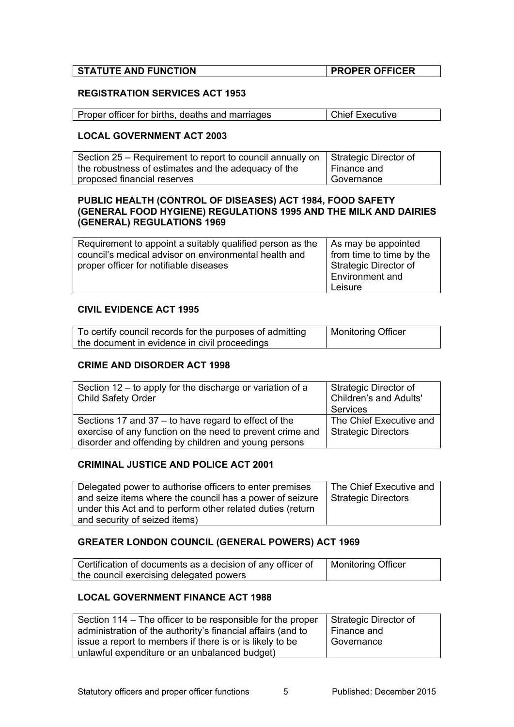| <b>STATUTE AND FUNCTION</b> | <b>PROPER OFFICER</b> |
|-----------------------------|-----------------------|
|                             |                       |

#### **REGISTRATION SERVICES ACT 1953**

| Proper officer for births, deaths and marriages | Chief Executive |
|-------------------------------------------------|-----------------|
|                                                 |                 |

#### **LOCAL GOVERNMENT ACT 2003**

| Section 25 – Requirement to report to council annually on $\vert$ Strategic Director of |             |
|-----------------------------------------------------------------------------------------|-------------|
| the robustness of estimates and the adequacy of the                                     | Finance and |
| proposed financial reserves                                                             | Governance  |

#### **PUBLIC HEALTH (CONTROL OF DISEASES) ACT 1984, FOOD SAFETY (GENERAL FOOD HYGIENE) REGULATIONS 1995 AND THE MILK AND DAIRIES (GENERAL) REGULATIONS 1969**

| Requirement to appoint a suitably qualified person as the | As may be appointed      |
|-----------------------------------------------------------|--------------------------|
| council's medical advisor on environmental health and     | from time to time by the |
| proper officer for notifiable diseases                    | Strategic Director of    |
|                                                           | Environment and          |
|                                                           | Leisure                  |

#### **CIVIL EVIDENCE ACT 1995**

| To certify council records for the purposes of admitting | Monitoring Officer |
|----------------------------------------------------------|--------------------|
| the document in evidence in civil proceedings            |                    |

#### **CRIME AND DISORDER ACT 1998**

| Section 12 – to apply for the discharge or variation of a<br>Child Safety Order                                                                                             | Strategic Director of<br><b>Children's and Adults'</b><br>Services |
|-----------------------------------------------------------------------------------------------------------------------------------------------------------------------------|--------------------------------------------------------------------|
| Sections 17 and $37 -$ to have regard to effect of the<br>exercise of any function on the need to prevent crime and<br>disorder and offending by children and young persons | The Chief Executive and<br>Strategic Directors                     |

#### **CRIMINAL JUSTICE AND POLICE ACT 2001**

| Delegated power to authorise officers to enter premises    | The Chief Executive and |
|------------------------------------------------------------|-------------------------|
| and seize items where the council has a power of seizure   | Strategic Directors     |
| under this Act and to perform other related duties (return |                         |
| and security of seized items)                              |                         |

#### **GREATER LONDON COUNCIL (GENERAL POWERS) ACT 1969**

| Certification of documents as a decision of any officer of | Monitoring Officer |
|------------------------------------------------------------|--------------------|
|                                                            |                    |
| the council exercising delegated powers                    |                    |

## **LOCAL GOVERNMENT FINANCE ACT 1988**

| Section 114 – The officer to be responsible for the proper  | Strategic Director of |
|-------------------------------------------------------------|-----------------------|
| administration of the authority's financial affairs (and to | Finance and           |
| issue a report to members if there is or is likely to be    | Governance            |
| unlawful expenditure or an unbalanced budget)               |                       |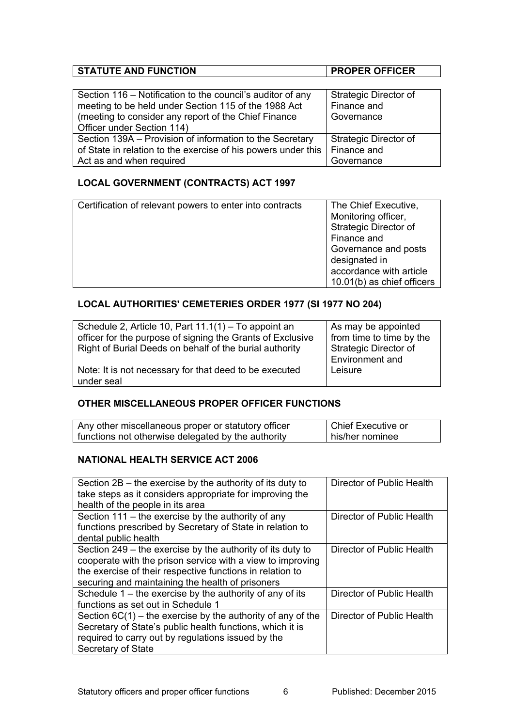# **STATUTE AND FUNCTION PROPER OFFICER**

| Section 116 – Notification to the council's auditor of any    | <b>Strategic Director of</b> |
|---------------------------------------------------------------|------------------------------|
| meeting to be held under Section 115 of the 1988 Act          | Finance and                  |
| (meeting to consider any report of the Chief Finance          | Governance                   |
| Officer under Section 114)                                    |                              |
| Section 139A – Provision of information to the Secretary      | Strategic Director of        |
| of State in relation to the exercise of his powers under this | Finance and                  |
| Act as and when required                                      | Governance                   |

# **LOCAL GOVERNMENT (CONTRACTS) ACT 1997**

| Certification of relevant powers to enter into contracts | The Chief Executive,       |
|----------------------------------------------------------|----------------------------|
|                                                          | Monitoring officer,        |
|                                                          | Strategic Director of      |
|                                                          | Finance and                |
|                                                          | Governance and posts       |
|                                                          | designated in              |
|                                                          | accordance with article    |
|                                                          | 10.01(b) as chief officers |
|                                                          |                            |

# **LOCAL AUTHORITIES' CEMETERIES ORDER 1977 (SI 1977 NO 204)**

| Schedule 2, Article 10, Part 11.1(1) – To appoint an       | As may be appointed          |
|------------------------------------------------------------|------------------------------|
| officer for the purpose of signing the Grants of Exclusive | from time to time by the     |
| Right of Burial Deeds on behalf of the burial authority    | <b>Strategic Director of</b> |
|                                                            | Environment and              |
| Note: It is not necessary for that deed to be executed     | Leisure                      |
| under seal                                                 |                              |

# **OTHER MISCELLANEOUS PROPER OFFICER FUNCTIONS**

| Any other miscellaneous proper or statutory officer | Chief Executive or |
|-----------------------------------------------------|--------------------|
| functions not otherwise delegated by the authority  | his/her nominee    |

# **NATIONAL HEALTH SERVICE ACT 2006**

| Section $2B$ – the exercise by the authority of its duty to<br>take steps as it considers appropriate for improving the<br>health of the people in its area                                                                               | Director of Public Health |
|-------------------------------------------------------------------------------------------------------------------------------------------------------------------------------------------------------------------------------------------|---------------------------|
| Section 111 – the exercise by the authority of any<br>functions prescribed by Secretary of State in relation to                                                                                                                           | Director of Public Health |
| dental public health                                                                                                                                                                                                                      |                           |
| Section 249 – the exercise by the authority of its duty to<br>cooperate with the prison service with a view to improving<br>the exercise of their respective functions in relation to<br>securing and maintaining the health of prisoners | Director of Public Health |
| Schedule $1$ – the exercise by the authority of any of its<br>functions as set out in Schedule 1                                                                                                                                          | Director of Public Health |
| Section $6C(1)$ – the exercise by the authority of any of the<br>Secretary of State's public health functions, which it is<br>required to carry out by regulations issued by the<br>Secretary of State                                    | Director of Public Health |